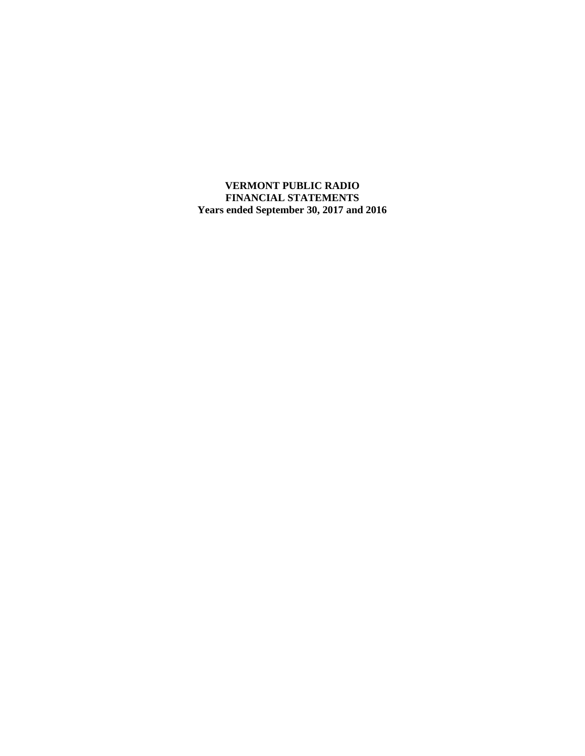**VERMONT PUBLIC RADIO FINANCIAL STATEMENTS Years ended September 30, 2017 and 2016**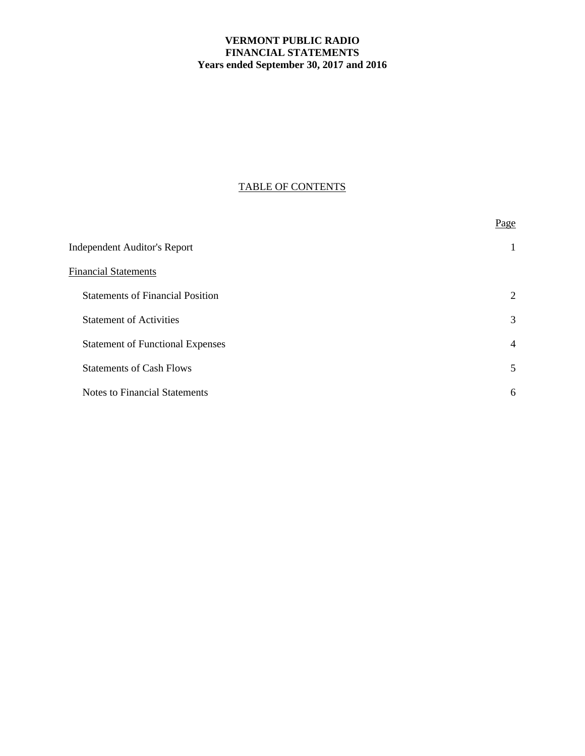# **VERMONT PUBLIC RADIO FINANCIAL STATEMENTS Years ended September 30, 2017 and 2016**

# TABLE OF CONTENTS

|                                         | Page           |
|-----------------------------------------|----------------|
| <b>Independent Auditor's Report</b>     | 1              |
| <b>Financial Statements</b>             |                |
| <b>Statements of Financial Position</b> | 2              |
| <b>Statement of Activities</b>          | 3              |
| <b>Statement of Functional Expenses</b> | $\overline{4}$ |
| <b>Statements of Cash Flows</b>         | 5              |
| <b>Notes to Financial Statements</b>    | 6              |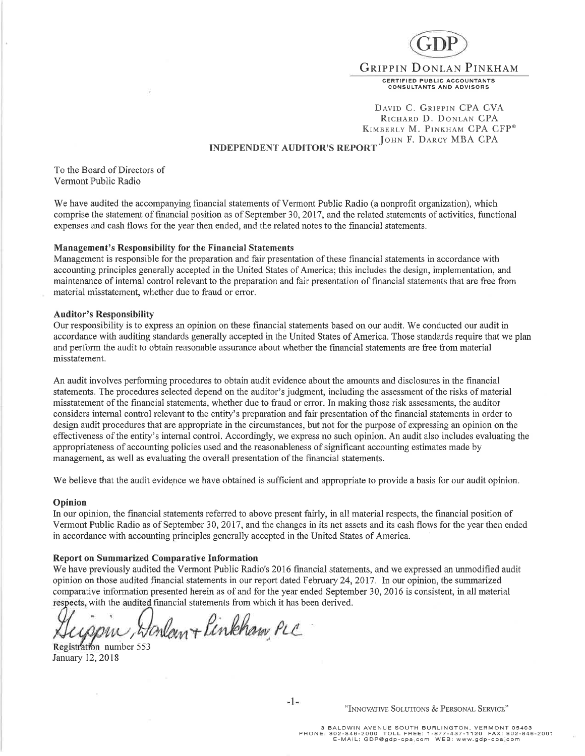

DAVID C. GRIPPIN CPA CVA RICHARD D. DONLAN CPA KIMBERLY M. PINKHAM CPA CFP® JOHN F. DARCY MBA CPA

## **INDEPENDENT AUDITOR'S REPORT**

To the Board of Directors of Vermont Public Radio

We have audited the accompanying financial statements of Vermont Public Radio (a nonprofit organization), which comprise the statement of financial position as of September 30, 2017 , and the related statements of activities, functional expenses and cash flows for the year then ended, and the related notes to the financial statements.

#### Management's Responsibility for the Financial Statements

Management is responsible for the preparation and fair presentation of these financial statements in accordance with accounting principles generally accepted in the United States of America; this includes the design, implementation, and maintenance of intemal control relevant to the preparation and fair presentation of financial statements that are free from material misstatement, whether due to fraud or error.

#### Auditor's Responsibility

Our responsibility is to express an opinion on these financial statements based on our audit. We conducted our audit in accordance with auditing standards generally accepted in the United States of America. Those standards require that we plan and perform the audit to obtain reasonable assurance about whether the financial statements are free from material misstatement.

An audit involves performing procedures to obtain audit evidence about the amounts and disclosures in the financial statements. The procedures selected depend on the auditor's judgment, including the assessment of the risks of material misstatement of the financial statements, whether due to fraud or error. In making those risk assessments, the auditor considers internal control relevant to the entity's preparation and fair presentation of the financial statements in order to design audit procedures that are appropriate in the circumstances, but not for the purpose of expressing an opinion on the effectiveness of the entity's internal control. Accordingly, we express no such opinion. An audit also includes evaluating the appropriateness of accounting policies used and the reasonableness of significant accounting estimates made by management, as well as evaluating the overall presentation of the financial statements.

We believe that the audit evidence we have obtained is sufficient and appropriate to provide a basis for our audit opinion.

#### **Opinion**

In our opinion, the financial statements referred to above present fairly, in all material respects, the financial position of Vermont Public Radio as of September 30,2017 , and the changes in its net assets and its cash flows for the year then encied in accordance with accounting principles generally accepted in the United States of America.

#### Report on Summarized Comparative Information

We have previously audited the Vermont Public Radio's 2016 financial statements, and we expressed an unmodified audit opinion on those audited financial statements in our report dated February 24,2017 . In our opinion, the summarized comparative information presented herein as of and for the year ended September 30,2076 is consistent, in all material respects, with the audited financial statements from which it has been derived.

ppin, Honlant Pinkham PLC

Registration number 553 January 12,2018

⊨[⊭

#### "INNOVATIVE SOLUTIONS & PERSONAL SERVICE"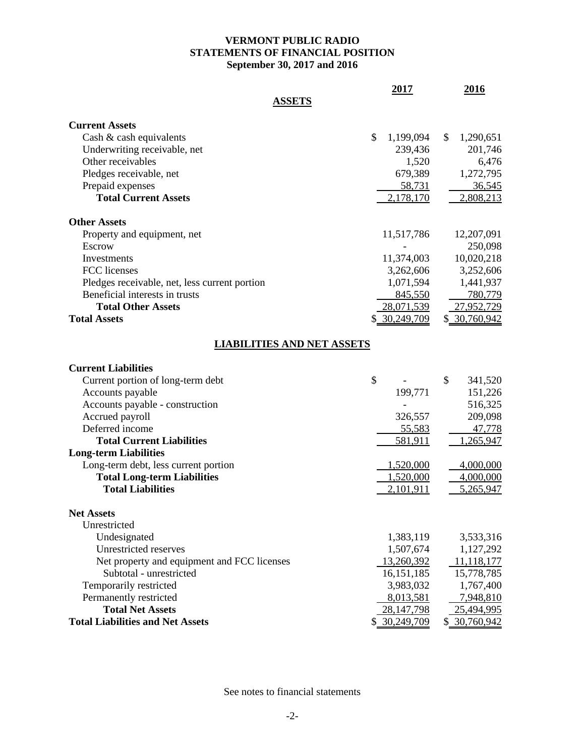# **VERMONT PUBLIC RADIO STATEMENTS OF FINANCIAL POSITION September 30, 2017 and 2016**

|                                               | 2017            | 2016             |
|-----------------------------------------------|-----------------|------------------|
| <b>ASSETS</b>                                 |                 |                  |
| <b>Current Assets</b>                         |                 |                  |
| Cash & cash equivalents                       | \$<br>1,199,094 | \$<br>1,290,651  |
| Underwriting receivable, net                  | 239,436         | 201,746          |
| Other receivables                             | 1,520           | 6,476            |
| Pledges receivable, net                       | 679,389         | 1,272,795        |
| Prepaid expenses                              | 58,731          | 36,545           |
| <b>Total Current Assets</b>                   | 2,178,170       | 2,808,213        |
| <b>Other Assets</b>                           |                 |                  |
| Property and equipment, net                   | 11,517,786      | 12,207,091       |
| Escrow                                        |                 | 250,098          |
| Investments                                   | 11,374,003      | 10,020,218       |
| FCC licenses                                  | 3,262,606       | 3,252,606        |
| Pledges receivable, net, less current portion | 1,071,594       | 1,441,937        |
| Beneficial interests in trusts                | 845,550         | 780,779          |
| <b>Total Other Assets</b>                     | 28,071,539      | 27,952,729       |
| <b>Total Assets</b>                           | \$ 30,249,709   | \$ 30,760,942    |
| <b>LIABILITIES AND NET ASSETS</b>             |                 |                  |
| <b>Current Liabilities</b>                    |                 |                  |
| Current portion of long-term debt             | \$              | \$<br>341,520    |
| Accounts payable                              | 199,771         | 151,226          |
| Accounts payable - construction               |                 | 516,325          |
| Accrued payroll                               | 326,557         | 209,098          |
| Deferred income                               | 55,583          | 47,778           |
| <b>Total Current Liabilities</b>              | 581,911         | 1,265,947        |
| <b>Long-term Liabilities</b>                  |                 |                  |
| Long-term debt, less current portion          | 1,520,000       | <u>4,000,000</u> |
| <b>Total Long-term Liabilities</b>            | 1,520,000       | 4,000,000        |
| <b>Total Liabilities</b>                      | 2,101,911       | 5,265,947        |
| <b>Net Assets</b>                             |                 |                  |
| Unrestricted                                  |                 |                  |
| Undesignated                                  | 1,383,119       | 3,533,316        |
| Unrestricted reserves                         | 1,507,674       | 1,127,292        |
| Net property and equipment and FCC licenses   | 13,260,392      | 11,118,177       |
| Subtotal - unrestricted                       | 16,151,185      | 15,778,785       |
| Temporarily restricted                        | 3,983,032       | 1,767,400        |
| Permanently restricted                        | 8,013,581       | 7,948,810        |
| <b>Total Net Assets</b>                       | 28, 147, 798    | 25,494,995       |
| <b>Total Liabilities and Net Assets</b>       | \$ 30,249,709   | \$ 30,760,942    |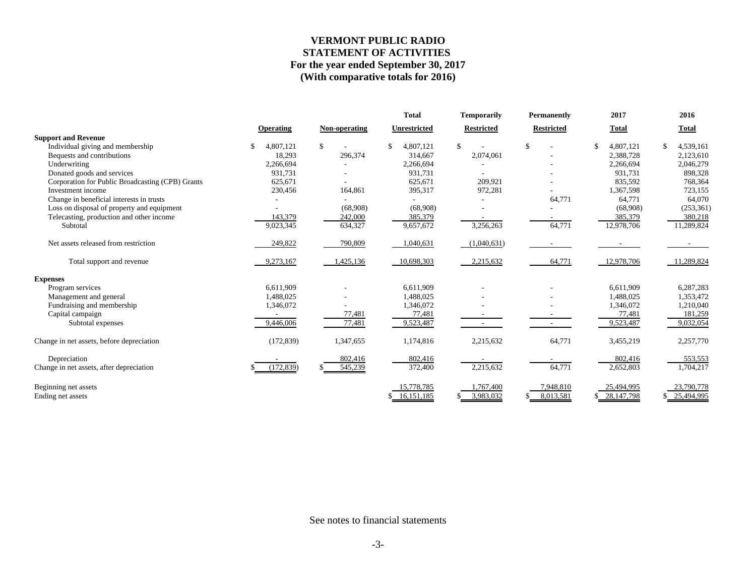### **VERMONT PUBLIC RADIO STATEMENT OF ACTIVITIES For the year ended September 30, 2017 (With comparative totals for 2016)**

|                                                  |            |               | <b>Total</b>    | <b>Temporarily</b> | <b>Permanently</b> | 2017            | 2016       |
|--------------------------------------------------|------------|---------------|-----------------|--------------------|--------------------|-----------------|------------|
|                                                  | Operating  | Non-operating | Unrestricted    | <b>Restricted</b>  | <b>Restricted</b>  | <b>Total</b>    | Total      |
| <b>Support and Revenue</b>                       |            |               |                 |                    |                    |                 |            |
| Individual giving and membership                 | 4,807,121  | \$            | \$<br>4,807,121 | \$                 | $\mathbb{S}$       | 4,807,121<br>\$ | 4,539,161  |
| Bequests and contributions                       | 18,293     | 296,374       | 314,667         | 2,074,061          |                    | 2,388,728       | 2,123,610  |
| Underwriting                                     | 2,266,694  |               | 2,266,694       |                    |                    | 2,266,694       | 2,046,279  |
| Donated goods and services                       | 931,731    |               | 931,731         |                    |                    | 931,731         | 898,328    |
| Corporation for Public Broadcasting (CPB) Grants | 625,671    |               | 625,671         | 209,921            |                    | 835,592         | 768,364    |
| Investment income                                | 230,456    | 164,861       | 395,317         | 972,281            |                    | 1,367,598       | 723,155    |
| Change in beneficial interests in trusts         |            |               |                 |                    | 64,771             | 64,771          | 64,070     |
| Loss on disposal of property and equipment       |            | (68,908)      | (68,908)        |                    |                    | (68,908)        | (253, 361) |
| Telecasting, production and other income         | 143,379    | 242,000       | 385,379         |                    |                    | 385,379         | 380,218    |
| Subtotal                                         | 9,023,345  | 634,327       | 9,657,672       | 3,256,263          | 64,771             | 12,978,706      | 11,289,824 |
| Net assets released from restriction             | 249,822    | 790,809       | 1,040,631       | (1,040,631)        |                    |                 |            |
| Total support and revenue                        | 9,273,167  | 1,425,136     | 10,698,303      | 2,215,632          | 64,771             | 12,978,706      | 11,289,824 |
| <b>Expenses</b>                                  |            |               |                 |                    |                    |                 |            |
| Program services                                 | 6.611.909  |               | 6.611.909       |                    |                    | 6,611,909       | 6,287,283  |
| Management and general                           | 1,488,025  |               | 1,488,025       |                    |                    | 1,488,025       | 1,353,472  |
| Fundraising and membership                       | 1,346,072  |               | 1,346,072       |                    |                    | 1,346,072       | 1,210,040  |
| Capital campaign                                 |            | 77,481        | 77,481          |                    |                    | 77,481          | 181,259    |
| Subtotal expenses                                | 9,446,006  | 77,481        | 9,523,487       |                    |                    | 9,523,487       | 9,032,054  |
| Change in net assets, before depreciation        | (172, 839) | 1,347,655     | 1,174,816       | 2,215,632          | 64,771             | 3,455,219       | 2,257,770  |
| Depreciation                                     |            | 802,416       | 802,416         |                    |                    | 802,416         | 553,553    |
| Change in net assets, after depreciation         | (172, 839) | 545,239       | 372,400         | 2,215,632          | 64,771             | 2,652,803       | 1,704,217  |
| Beginning net assets                             |            |               | 15,778,785      | 1,767,400          | 7,948,810          | 25,494,995      | 23,790,778 |
| Ending net assets                                |            |               | \$16,151,185    | 3,983,032<br>S.    | 8.013.581          | \$ 28,147,798   | 25,494,995 |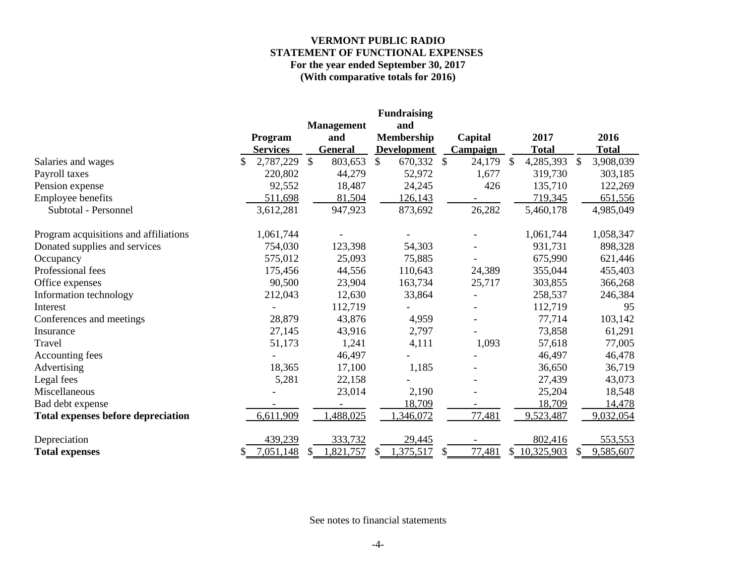### **VERMONT PUBLIC RADIO STATEMENT OF FUNCTIONAL EXPENSES For the year ended September 30, 2017 (With comparative totals for 2016)**

|                                           |    |                 |    |                   | <b>Fundraising</b> |                 |                 |    |              |
|-------------------------------------------|----|-----------------|----|-------------------|--------------------|-----------------|-----------------|----|--------------|
|                                           |    |                 |    | <b>Management</b> | and                |                 |                 |    |              |
|                                           |    | Program         |    | and               | <b>Membership</b>  | Capital         | 2017            |    | 2016         |
|                                           |    | <b>Services</b> |    | <b>General</b>    | <b>Development</b> | <b>Campaign</b> | <b>Total</b>    |    | <b>Total</b> |
| Salaries and wages                        | \$ | 2,787,229       | \$ | 803,653           | \$<br>670,332 \$   | 24,179          | \$<br>4,285,393 | \$ | 3,908,039    |
| Payroll taxes                             |    | 220,802         |    | 44,279            | 52,972             | 1,677           | 319,730         |    | 303,185      |
| Pension expense                           |    | 92,552          |    | 18,487            | 24,245             | 426             | 135,710         |    | 122,269      |
| Employee benefits                         |    | 511,698         |    | 81,504            | 126,143            |                 | 719,345         |    | 651,556      |
| Subtotal - Personnel                      |    | 3,612,281       |    | 947,923           | 873,692            | 26,282          | 5,460,178       |    | 4,985,049    |
| Program acquisitions and affiliations     |    | 1,061,744       |    |                   |                    |                 | 1,061,744       |    | 1,058,347    |
| Donated supplies and services             |    | 754,030         |    | 123,398           | 54,303             |                 | 931,731         |    | 898,328      |
| Occupancy                                 |    | 575,012         |    | 25,093            | 75,885             |                 | 675,990         |    | 621,446      |
| Professional fees                         |    | 175,456         |    | 44,556            | 110,643            | 24,389          | 355,044         |    | 455,403      |
| Office expenses                           |    | 90,500          |    | 23,904            | 163,734            | 25,717          | 303,855         |    | 366,268      |
| Information technology                    |    | 212,043         |    | 12,630            | 33,864             |                 | 258,537         |    | 246,384      |
| Interest                                  |    |                 |    | 112,719           |                    |                 | 112,719         |    | 95           |
| Conferences and meetings                  |    | 28,879          |    | 43,876            | 4,959              |                 | 77,714          |    | 103,142      |
| Insurance                                 |    | 27,145          |    | 43,916            | 2,797              |                 | 73,858          |    | 61,291       |
| Travel                                    |    | 51,173          |    | 1,241             | 4,111              | 1,093           | 57,618          |    | 77,005       |
| Accounting fees                           |    |                 |    | 46,497            |                    |                 | 46,497          |    | 46,478       |
| Advertising                               |    | 18,365          |    | 17,100            | 1,185              |                 | 36,650          |    | 36,719       |
| Legal fees                                |    | 5,281           |    | 22,158            |                    |                 | 27,439          |    | 43,073       |
| Miscellaneous                             |    |                 |    | 23,014            | 2,190              |                 | 25,204          |    | 18,548       |
| Bad debt expense                          |    |                 |    | -                 | 18,709             |                 | 18,709          |    | 14,478       |
| <b>Total expenses before depreciation</b> |    | 6,611,909       |    | 488,025           | 1,346,072          | 77,481          | 9,523,487       |    | 9,032,054    |
| Depreciation                              |    | 439,239         |    | 333,732           | 29,445             |                 | 802,416         |    | 553,553      |
| <b>Total expenses</b>                     | S  | 7,051,148       | S  | 1,821,757         | \$<br>1,375,517    | \$<br>77,481    | \$10,325,903    | S  | 9,585,607    |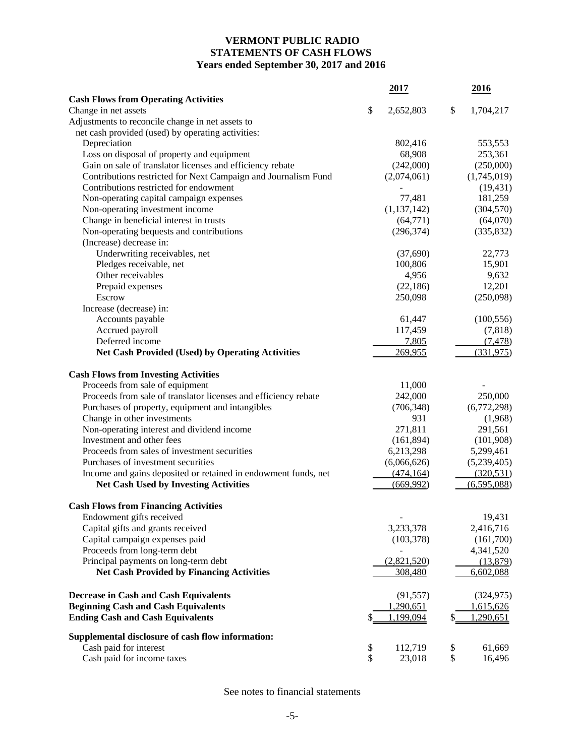# **VERMONT PUBLIC RADIO STATEMENTS OF CASH FLOWS Years ended September 30, 2017 and 2016**

|                                                                 |          | 2017             | 2016            |
|-----------------------------------------------------------------|----------|------------------|-----------------|
| <b>Cash Flows from Operating Activities</b>                     |          |                  |                 |
| Change in net assets                                            | \$       | 2,652,803        | \$<br>1,704,217 |
| Adjustments to reconcile change in net assets to                |          |                  |                 |
| net cash provided (used) by operating activities:               |          |                  |                 |
| Depreciation                                                    |          | 802,416          | 553,553         |
| Loss on disposal of property and equipment                      |          | 68,908           | 253,361         |
| Gain on sale of translator licenses and efficiency rebate       |          | (242,000)        | (250,000)       |
| Contributions restricted for Next Campaign and Journalism Fund  |          | (2,074,061)      | (1,745,019)     |
| Contributions restricted for endowment                          |          |                  | (19, 431)       |
| Non-operating capital campaign expenses                         |          | 77,481           | 181,259         |
| Non-operating investment income                                 |          | (1, 137, 142)    | (304, 570)      |
| Change in beneficial interest in trusts                         |          | (64, 771)        | (64,070)        |
| Non-operating bequests and contributions                        |          | (296, 374)       | (335, 832)      |
| (Increase) decrease in:                                         |          |                  |                 |
| Underwriting receivables, net                                   |          | (37,690)         | 22,773          |
| Pledges receivable, net                                         |          | 100,806          | 15,901          |
| Other receivables                                               |          | 4,956            | 9,632           |
| Prepaid expenses                                                |          | (22, 186)        | 12,201          |
| Escrow                                                          |          | 250,098          | (250,098)       |
| Increase (decrease) in:                                         |          |                  |                 |
| Accounts payable                                                |          | 61,447           | (100, 556)      |
| Accrued payroll                                                 |          | 117,459          | (7, 818)        |
| Deferred income                                                 |          | 7,805            | (7, 478)        |
| <b>Net Cash Provided (Used) by Operating Activities</b>         |          | 269,955          | (331, 975)      |
| <b>Cash Flows from Investing Activities</b>                     |          |                  |                 |
| Proceeds from sale of equipment                                 |          | 11,000           |                 |
| Proceeds from sale of translator licenses and efficiency rebate |          | 242,000          | 250,000         |
| Purchases of property, equipment and intangibles                |          | (706, 348)       | (6,772,298)     |
| Change in other investments                                     |          | 931              | (1,968)         |
| Non-operating interest and dividend income                      |          | 271,811          | 291,561         |
| Investment and other fees                                       |          | (161, 894)       | (101,908)       |
| Proceeds from sales of investment securities                    |          | 6,213,298        | 5,299,461       |
| Purchases of investment securities                              |          | (6,066,626)      | (5,239,405)     |
| Income and gains deposited or retained in endowment funds, net  |          | (474, 164)       | (320, 531)      |
| <b>Net Cash Used by Investing Activities</b>                    |          | (669,992)        | (6,595,088)     |
|                                                                 |          |                  |                 |
| <b>Cash Flows from Financing Activities</b>                     |          |                  |                 |
| Endowment gifts received                                        |          |                  | 19,431          |
| Capital gifts and grants received                               |          | 3,233,378        | 2,416,716       |
| Capital campaign expenses paid                                  |          | (103, 378)       | (161,700)       |
| Proceeds from long-term debt                                    |          |                  | 4,341,520       |
| Principal payments on long-term debt                            |          | (2,821,520)      | (13,879)        |
| <b>Net Cash Provided by Financing Activities</b>                |          | 308,480          | 6,602,088       |
| <b>Decrease in Cash and Cash Equivalents</b>                    |          | (91, 557)        | (324, 975)      |
| <b>Beginning Cash and Cash Equivalents</b>                      |          | <u>1,290,651</u> | 1,615,626       |
| <b>Ending Cash and Cash Equivalents</b>                         |          | 1,199,094        | 1,290,651       |
| Supplemental disclosure of cash flow information:               |          |                  |                 |
| Cash paid for interest                                          |          | 112,719          | \$<br>61,669    |
| Cash paid for income taxes                                      | \$<br>\$ | 23,018           | \$<br>16,496    |
|                                                                 |          |                  |                 |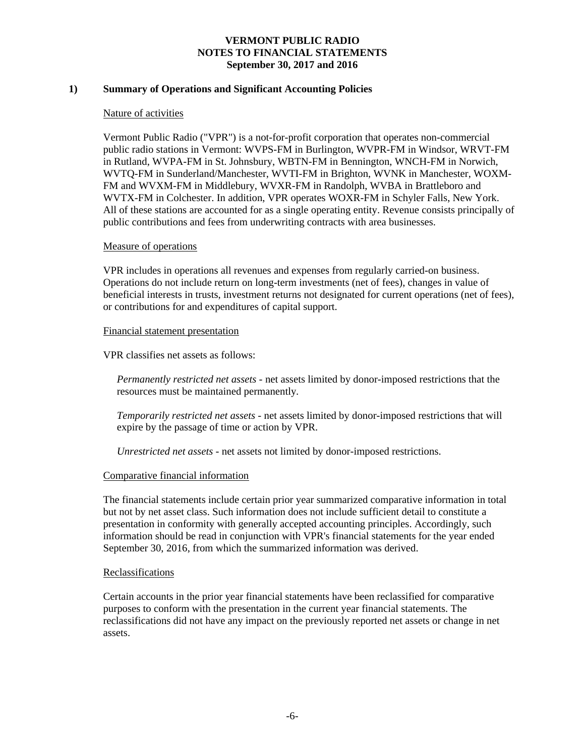### **1) Summary of Operations and Significant Accounting Policies**

#### Nature of activities

Vermont Public Radio ("VPR") is a not-for-profit corporation that operates non-commercial public radio stations in Vermont: WVPS-FM in Burlington, WVPR-FM in Windsor, WRVT-FM in Rutland, WVPA-FM in St. Johnsbury, WBTN-FM in Bennington, WNCH-FM in Norwich, WVTQ-FM in Sunderland/Manchester, WVTI-FM in Brighton, WVNK in Manchester, WOXM-FM and WVXM-FM in Middlebury, WVXR-FM in Randolph, WVBA in Brattleboro and WVTX-FM in Colchester. In addition, VPR operates WOXR-FM in Schyler Falls, New York. All of these stations are accounted for as a single operating entity. Revenue consists principally of public contributions and fees from underwriting contracts with area businesses.

#### Measure of operations

VPR includes in operations all revenues and expenses from regularly carried-on business. Operations do not include return on long-term investments (net of fees), changes in value of beneficial interests in trusts, investment returns not designated for current operations (net of fees), or contributions for and expenditures of capital support.

#### Financial statement presentation

VPR classifies net assets as follows:

*Permanently restricted net assets -* net assets limited by donor-imposed restrictions that the resources must be maintained permanently*.*

*Temporarily restricted net assets -* net assets limited by donor-imposed restrictions that will expire by the passage of time or action by VPR.

*Unrestricted net assets -* net assets not limited by donor-imposed restrictions.

#### Comparative financial information

The financial statements include certain prior year summarized comparative information in total but not by net asset class. Such information does not include sufficient detail to constitute a presentation in conformity with generally accepted accounting principles. Accordingly, such information should be read in conjunction with VPR's financial statements for the year ended September 30, 2016, from which the summarized information was derived.

#### Reclassifications

Certain accounts in the prior year financial statements have been reclassified for comparative purposes to conform with the presentation in the current year financial statements. The reclassifications did not have any impact on the previously reported net assets or change in net assets.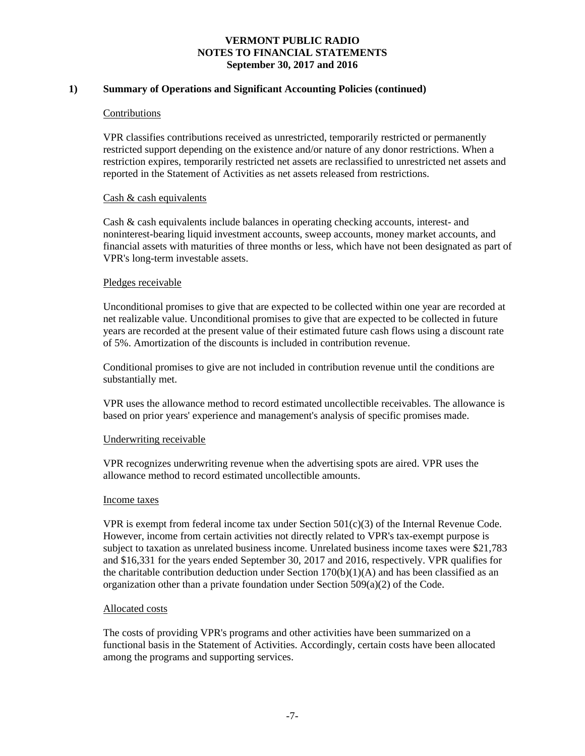### **1) Summary of Operations and Significant Accounting Policies (continued)**

#### Contributions

VPR classifies contributions received as unrestricted, temporarily restricted or permanently restricted support depending on the existence and/or nature of any donor restrictions. When a restriction expires, temporarily restricted net assets are reclassified to unrestricted net assets and reported in the Statement of Activities as net assets released from restrictions.

### Cash & cash equivalents

Cash & cash equivalents include balances in operating checking accounts, interest- and noninterest-bearing liquid investment accounts, sweep accounts, money market accounts, and financial assets with maturities of three months or less, which have not been designated as part of VPR's long-term investable assets.

### Pledges receivable

Unconditional promises to give that are expected to be collected within one year are recorded at net realizable value. Unconditional promises to give that are expected to be collected in future years are recorded at the present value of their estimated future cash flows using a discount rate of 5%. Amortization of the discounts is included in contribution revenue.

Conditional promises to give are not included in contribution revenue until the conditions are substantially met.

VPR uses the allowance method to record estimated uncollectible receivables. The allowance is based on prior years' experience and management's analysis of specific promises made.

#### Underwriting receivable

VPR recognizes underwriting revenue when the advertising spots are aired. VPR uses the allowance method to record estimated uncollectible amounts.

#### Income taxes

VPR is exempt from federal income tax under Section  $501(c)(3)$  of the Internal Revenue Code. However, income from certain activities not directly related to VPR's tax-exempt purpose is subject to taxation as unrelated business income. Unrelated business income taxes were \$21,783 and \$16,331 for the years ended September 30, 2017 and 2016, respectively. VPR qualifies for the charitable contribution deduction under Section  $170(b)(1)(A)$  and has been classified as an organization other than a private foundation under Section  $509(a)(2)$  of the Code.

#### Allocated costs

The costs of providing VPR's programs and other activities have been summarized on a functional basis in the Statement of Activities. Accordingly, certain costs have been allocated among the programs and supporting services.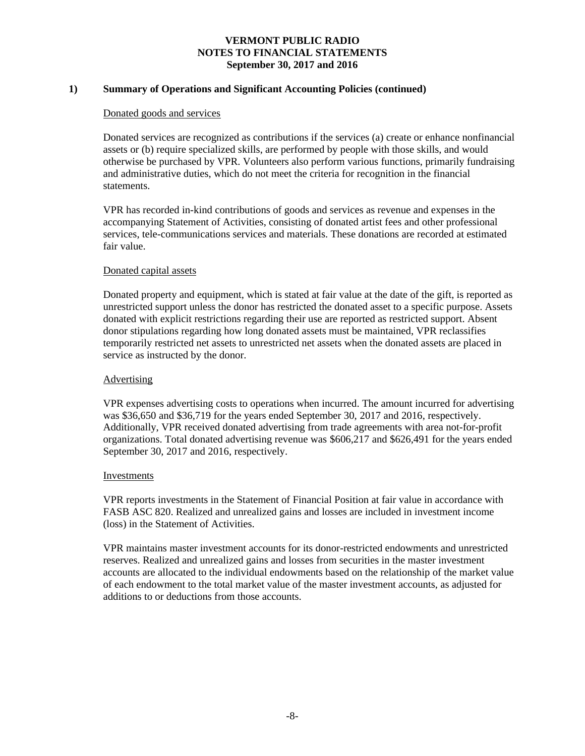### **1) Summary of Operations and Significant Accounting Policies (continued)**

#### Donated goods and services

Donated services are recognized as contributions if the services (a) create or enhance nonfinancial assets or (b) require specialized skills, are performed by people with those skills, and would otherwise be purchased by VPR. Volunteers also perform various functions, primarily fundraising and administrative duties, which do not meet the criteria for recognition in the financial statements.

VPR has recorded in-kind contributions of goods and services as revenue and expenses in the accompanying Statement of Activities, consisting of donated artist fees and other professional services, tele-communications services and materials. These donations are recorded at estimated fair value.

### Donated capital assets

Donated property and equipment, which is stated at fair value at the date of the gift, is reported as unrestricted support unless the donor has restricted the donated asset to a specific purpose. Assets donated with explicit restrictions regarding their use are reported as restricted support. Absent donor stipulations regarding how long donated assets must be maintained, VPR reclassifies temporarily restricted net assets to unrestricted net assets when the donated assets are placed in service as instructed by the donor.

#### Advertising

VPR expenses advertising costs to operations when incurred. The amount incurred for advertising was \$36,650 and \$36,719 for the years ended September 30, 2017 and 2016, respectively. Additionally, VPR received donated advertising from trade agreements with area not-for-profit organizations. Total donated advertising revenue was \$606,217 and \$626,491 for the years ended September 30, 2017 and 2016, respectively.

#### Investments

VPR reports investments in the Statement of Financial Position at fair value in accordance with FASB ASC 820. Realized and unrealized gains and losses are included in investment income (loss) in the Statement of Activities.

VPR maintains master investment accounts for its donor-restricted endowments and unrestricted reserves. Realized and unrealized gains and losses from securities in the master investment accounts are allocated to the individual endowments based on the relationship of the market value of each endowment to the total market value of the master investment accounts, as adjusted for additions to or deductions from those accounts.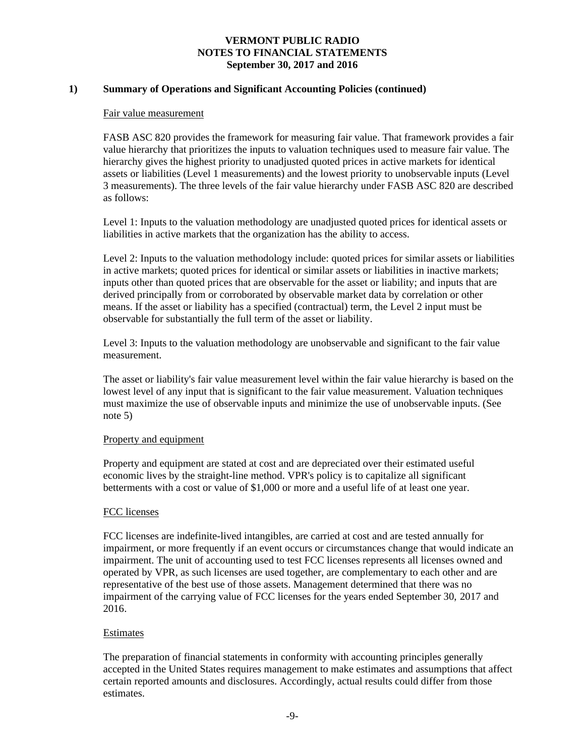### **1) Summary of Operations and Significant Accounting Policies (continued)**

#### Fair value measurement

FASB ASC 820 provides the framework for measuring fair value. That framework provides a fair value hierarchy that prioritizes the inputs to valuation techniques used to measure fair value. The hierarchy gives the highest priority to unadjusted quoted prices in active markets for identical assets or liabilities (Level 1 measurements) and the lowest priority to unobservable inputs (Level 3 measurements). The three levels of the fair value hierarchy under FASB ASC 820 are described as follows:

Level 1: Inputs to the valuation methodology are unadjusted quoted prices for identical assets or liabilities in active markets that the organization has the ability to access.

Level 2: Inputs to the valuation methodology include: quoted prices for similar assets or liabilities in active markets; quoted prices for identical or similar assets or liabilities in inactive markets; inputs other than quoted prices that are observable for the asset or liability; and inputs that are derived principally from or corroborated by observable market data by correlation or other means. If the asset or liability has a specified (contractual) term, the Level 2 input must be observable for substantially the full term of the asset or liability.

Level 3: Inputs to the valuation methodology are unobservable and significant to the fair value measurement.

The asset or liability's fair value measurement level within the fair value hierarchy is based on the lowest level of any input that is significant to the fair value measurement. Valuation techniques must maximize the use of observable inputs and minimize the use of unobservable inputs. (See note 5)

#### Property and equipment

Property and equipment are stated at cost and are depreciated over their estimated useful economic lives by the straight-line method. VPR's policy is to capitalize all significant betterments with a cost or value of \$1,000 or more and a useful life of at least one year.

#### FCC licenses

FCC licenses are indefinite-lived intangibles, are carried at cost and are tested annually for impairment, or more frequently if an event occurs or circumstances change that would indicate an impairment. The unit of accounting used to test FCC licenses represents all licenses owned and operated by VPR, as such licenses are used together, are complementary to each other and are representative of the best use of those assets. Management determined that there was no impairment of the carrying value of FCC licenses for the years ended September 30, 2017 and 2016.

#### Estimates

The preparation of financial statements in conformity with accounting principles generally accepted in the United States requires management to make estimates and assumptions that affect certain reported amounts and disclosures. Accordingly, actual results could differ from those estimates.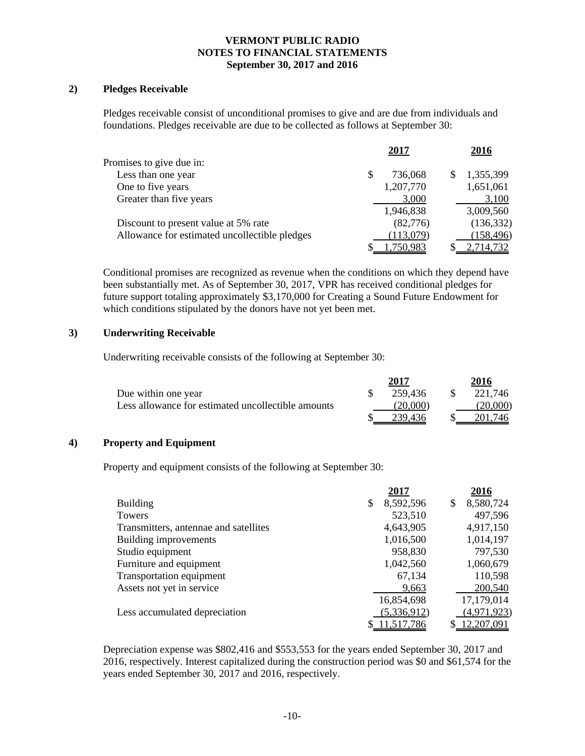### **2) Pledges Receivable**

Pledges receivable consist of unconditional promises to give and are due from individuals and foundations. Pledges receivable are due to be collected as follows at September 30:

|                                               | 2017      | 2016       |
|-----------------------------------------------|-----------|------------|
| Promises to give due in:                      |           |            |
| Less than one year                            | 736,068   | 1,355,399  |
| One to five years                             | 1,207,770 | 1,651,061  |
| Greater than five years                       | 3,000     | 3,100      |
|                                               | 1,946,838 | 3,009,560  |
| Discount to present value at 5% rate          | (82,776)  | (136, 332) |
| Allowance for estimated uncollectible pledges | (113,079) | (158, 496) |
|                                               | 1,750,983 | 2,714,732  |

Conditional promises are recognized as revenue when the conditions on which they depend have been substantially met. As of September 30, 2017, VPR has received conditional pledges for future support totaling approximately \$3,170,000 for Creating a Sound Future Endowment for which conditions stipulated by the donors have not yet been met.

### **3) Underwriting Receivable**

Underwriting receivable consists of the following at September 30:

|                                                    | 2017     | 2016     |
|----------------------------------------------------|----------|----------|
| Due within one year                                | 259.436  | 221.746  |
| Less allowance for estimated uncollectible amounts | (20.000) | (20.000) |
|                                                    | 239.436  | 201.746  |

### **4) Property and Equipment**

Property and equipment consists of the following at September 30:

|                                       | 2017            | 2016            |
|---------------------------------------|-----------------|-----------------|
| <b>Building</b>                       | \$<br>8,592,596 | \$<br>8,580,724 |
| Towers                                | 523,510         | 497,596         |
| Transmitters, antennae and satellites | 4,643,905       | 4,917,150       |
| Building improvements                 | 1,016,500       | 1,014,197       |
| Studio equipment                      | 958,830         | 797,530         |
| Furniture and equipment               | 1,042,560       | 1,060,679       |
| Transportation equipment              | 67,134          | 110,598         |
| Assets not yet in service             | 9,663           | 200,540         |
|                                       | 16,854,698      | 17,179,014      |
| Less accumulated depreciation         | (5,336,912)     | (4,971,923)     |
|                                       | 11,517,786      | 12,207,091      |

Depreciation expense was \$802,416 and \$553,553 for the years ended September 30, 2017 and 2016, respectively. Interest capitalized during the construction period was \$0 and \$61,574 for the years ended September 30, 2017 and 2016, respectively.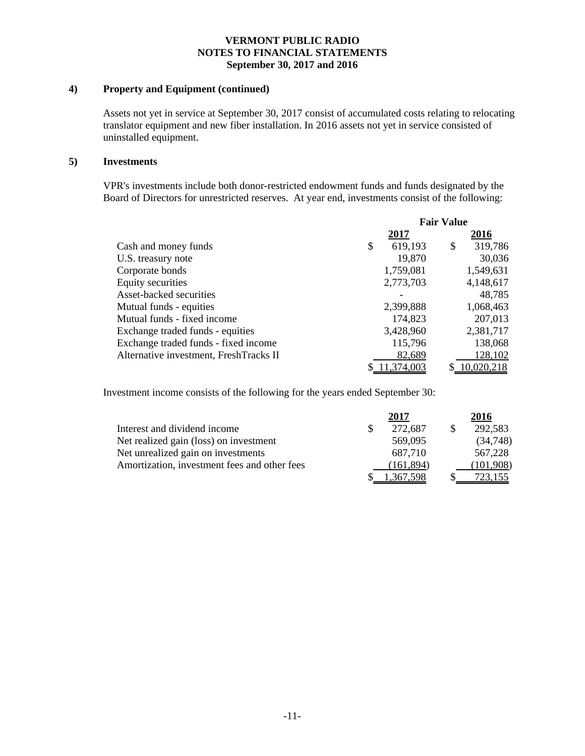### **4) Property and Equipment (continued)**

Assets not yet in service at September 30, 2017 consist of accumulated costs relating to relocating translator equipment and new fiber installation. In 2016 assets not yet in service consisted of uninstalled equipment.

#### **5) Investments**

VPR's investments include both donor-restricted endowment funds and funds designated by the Board of Directors for unrestricted reserves. At year end, investments consist of the following:

|                                        | <b>Fair Value</b> |    |            |  |
|----------------------------------------|-------------------|----|------------|--|
|                                        | 2017              |    | 2016       |  |
| Cash and money funds                   | \$<br>619,193     | \$ | 319,786    |  |
| U.S. treasury note                     | 19,870            |    | 30,036     |  |
| Corporate bonds                        | 1,759,081         |    | 1,549,631  |  |
| Equity securities                      | 2,773,703         |    | 4,148,617  |  |
| Asset-backed securities                |                   |    | 48,785     |  |
| Mutual funds - equities                | 2,399,888         |    | 1,068,463  |  |
| Mutual funds - fixed income            | 174,823           |    | 207,013    |  |
| Exchange traded funds - equities       | 3,428,960         |    | 2,381,717  |  |
| Exchange traded funds - fixed income   | 115,796           |    | 138,068    |  |
| Alternative investment, FreshTracks II | 82,689            |    | 128,102    |  |
|                                        | \$11,374,003      |    | 10,020,218 |  |

Investment income consists of the following for the years ended September 30:

|                                              | 2017       | 2016      |
|----------------------------------------------|------------|-----------|
| Interest and dividend income                 | 272,687    | 292,583   |
| Net realized gain (loss) on investment       | 569,095    | (34,748)  |
| Net unrealized gain on investments           | 687.710    | 567,228   |
| Amortization, investment fees and other fees | (161, 894) | (101,908) |
|                                              | 367.598    |           |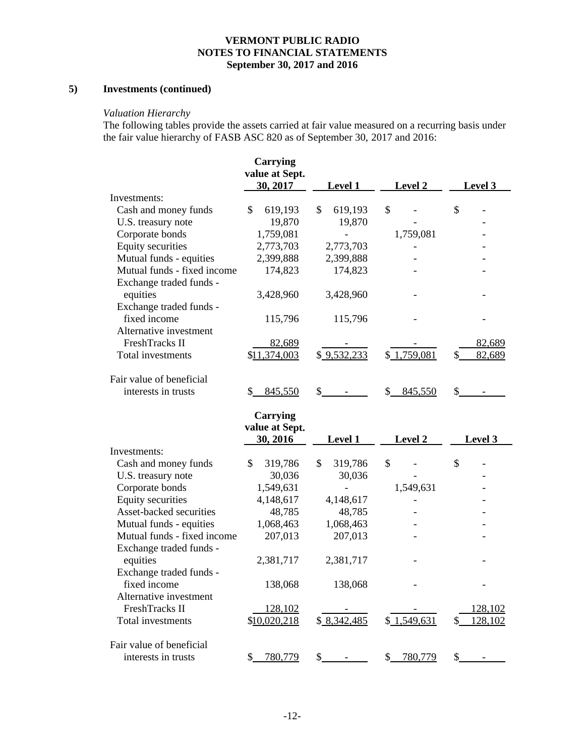# **5) Investments (continued)**

### *Valuation Hierarchy*

The following tables provide the assets carried at fair value measured on a recurring basis under the fair value hierarchy of FASB ASC 820 as of September 30, 2017 and 2016:

|                             | <b>Carrying</b><br>value at Sept.<br>30, 2017 | <b>Level 1</b> | Level 2       | Level 3       |
|-----------------------------|-----------------------------------------------|----------------|---------------|---------------|
| Investments:                |                                               |                |               |               |
| Cash and money funds        | \$<br>619,193                                 | \$<br>619,193  | \$            | \$            |
| U.S. treasury note          | 19,870                                        | 19,870         |               |               |
| Corporate bonds             | 1,759,081                                     |                | 1,759,081     |               |
| <b>Equity securities</b>    | 2,773,703                                     | 2,773,703      |               |               |
| Mutual funds - equities     | 2,399,888                                     | 2,399,888      |               |               |
| Mutual funds - fixed income | 174,823                                       | 174,823        |               |               |
| Exchange traded funds -     |                                               |                |               |               |
| equities                    | 3,428,960                                     | 3,428,960      |               |               |
| Exchange traded funds -     |                                               |                |               |               |
| fixed income                | 115,796                                       | 115,796        |               |               |
| Alternative investment      |                                               |                |               |               |
| FreshTracks II              | 82,689                                        |                |               | 82,689        |
| Total investments           | \$11,374,003                                  | \$9,532,233    | \$1,759,081   | 82,689<br>\$  |
| Fair value of beneficial    |                                               |                |               |               |
| interests in trusts         | $\frac{1}{2}$<br>845,550                      | $\mathbb{S}$   | \$845,550     | \$            |
|                             | <b>Carrying</b><br>value at Sept.             |                |               |               |
|                             | 30, 2016                                      | <b>Level 1</b> | Level 2       | Level 3       |
| Investments:                |                                               |                |               |               |
| Cash and money funds        | \$<br>319,786                                 | \$<br>319,786  | \$            | \$            |
| U.S. treasury note          | 30,036                                        | 30,036         |               |               |
| Corporate bonds             | 1,549,631                                     |                | 1,549,631     |               |
| <b>Equity securities</b>    | 4,148,617                                     | 4,148,617      |               |               |
| Asset-backed securities     | 48,785                                        | 48,785         |               |               |
| Mutual funds - equities     | 1,068,463                                     | 1,068,463      |               |               |
| Mutual funds - fixed income | 207,013                                       | 207,013        |               |               |
| Exchange traded funds -     |                                               |                |               |               |
| equities                    | 2,381,717                                     | 2,381,717      |               |               |
| Exchange traded funds -     |                                               |                |               |               |
| fixed income                | 138,068                                       | 138,068        |               |               |
| Alternative investment      |                                               |                |               |               |
| FreshTracks II              | 128,102                                       |                |               | 128,102       |
| Total investments           | \$10,020,218                                  | \$8,342,485    | \$1,549,631   | 128,102<br>\$ |
| Fair value of beneficial    |                                               |                |               |               |
| interests in trusts         | \$<br>780,779                                 | \$             | 780,779<br>\$ | \$            |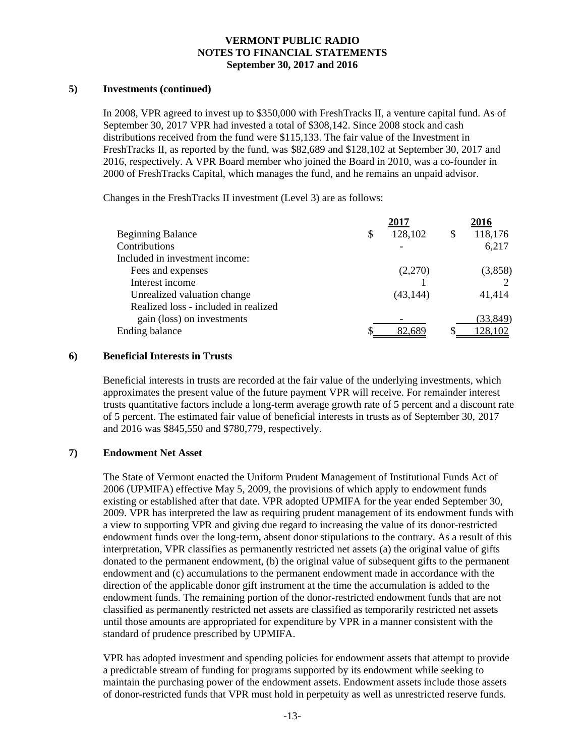### **5) Investments (continued)**

In 2008, VPR agreed to invest up to \$350,000 with FreshTracks II, a venture capital fund. As of September 30, 2017 VPR had invested a total of \$308,142. Since 2008 stock and cash distributions received from the fund were \$115,133. The fair value of the Investment in FreshTracks II, as reported by the fund, was \$82,689 and \$128,102 at September 30, 2017 and 2016, respectively. A VPR Board member who joined the Board in 2010, was a co-founder in 2000 of FreshTracks Capital, which manages the fund, and he remains an unpaid advisor.

Changes in the FreshTracks II investment (Level 3) are as follows:

|                                      | 2017 |           |  | 2016      |  |
|--------------------------------------|------|-----------|--|-----------|--|
| <b>Beginning Balance</b>             | \$   | 128,102   |  | 118,176   |  |
| Contributions                        |      |           |  | 6,217     |  |
| Included in investment income:       |      |           |  |           |  |
| Fees and expenses                    |      | (2,270)   |  | (3,858)   |  |
| Interest income                      |      |           |  |           |  |
| Unrealized valuation change          |      | (43, 144) |  | 41,414    |  |
| Realized loss - included in realized |      |           |  |           |  |
| gain (loss) on investments           |      |           |  | (33, 849) |  |
| Ending balance                       |      | 82.689    |  | 128,102   |  |

#### **6) Beneficial Interests in Trusts**

Beneficial interests in trusts are recorded at the fair value of the underlying investments, which approximates the present value of the future payment VPR will receive. For remainder interest trusts quantitative factors include a long-term average growth rate of 5 percent and a discount rate of 5 percent. The estimated fair value of beneficial interests in trusts as of September 30, 2017 and 2016 was \$845,550 and \$780,779, respectively.

### **7) Endowment Net Asset**

The State of Vermont enacted the Uniform Prudent Management of Institutional Funds Act of 2006 (UPMIFA) effective May 5, 2009, the provisions of which apply to endowment funds existing or established after that date. VPR adopted UPMIFA for the year ended September 30, 2009. VPR has interpreted the law as requiring prudent management of its endowment funds with a view to supporting VPR and giving due regard to increasing the value of its donor-restricted endowment funds over the long-term, absent donor stipulations to the contrary. As a result of this interpretation, VPR classifies as permanently restricted net assets (a) the original value of gifts donated to the permanent endowment, (b) the original value of subsequent gifts to the permanent endowment and (c) accumulations to the permanent endowment made in accordance with the direction of the applicable donor gift instrument at the time the accumulation is added to the endowment funds. The remaining portion of the donor-restricted endowment funds that are not classified as permanently restricted net assets are classified as temporarily restricted net assets until those amounts are appropriated for expenditure by VPR in a manner consistent with the standard of prudence prescribed by UPMIFA.

VPR has adopted investment and spending policies for endowment assets that attempt to provide a predictable stream of funding for programs supported by its endowment while seeking to maintain the purchasing power of the endowment assets. Endowment assets include those assets of donor-restricted funds that VPR must hold in perpetuity as well as unrestricted reserve funds.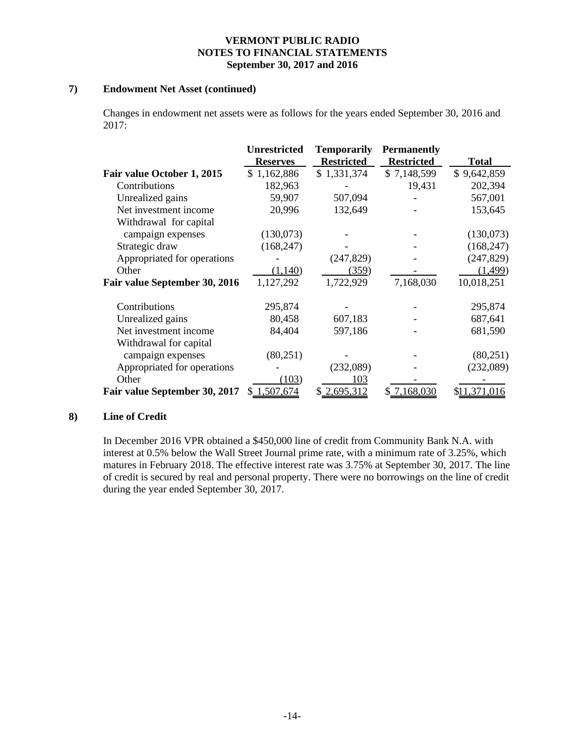### **7) Endowment Net Asset (continued)**

Changes in endowment net assets were as follows for the years ended September 30, 2016 and 2017:

|                               | <b>Unrestricted</b> | <b>Temporarily</b> | <b>Permanently</b> |              |
|-------------------------------|---------------------|--------------------|--------------------|--------------|
|                               | <b>Reserves</b>     | <b>Restricted</b>  | <b>Restricted</b>  | Total        |
| Fair value October 1, 2015    | \$1,162,886         | \$1,331,374        | \$7,148,599        | \$9,642,859  |
| Contributions                 | 182,963             |                    | 19,431             | 202,394      |
| Unrealized gains              | 59,907              | 507,094            |                    | 567,001      |
| Net investment income         | 20,996              | 132,649            |                    | 153,645      |
| Withdrawal for capital        |                     |                    |                    |              |
| campaign expenses             | (130,073)           |                    |                    | (130,073)    |
| Strategic draw                | (168, 247)          |                    |                    | (168, 247)   |
| Appropriated for operations   |                     | (247, 829)         |                    | (247, 829)   |
| Other                         | (1,140)             | (359)              |                    | (1,499)      |
| Fair value September 30, 2016 | 1,127,292           | 1,722,929          | 7,168,030          | 10,018,251   |
| Contributions                 | 295,874             |                    |                    | 295,874      |
| Unrealized gains              | 80,458              | 607,183            |                    | 687,641      |
| Net investment income         | 84,404              | 597,186            |                    | 681,590      |
| Withdrawal for capital        |                     |                    |                    |              |
| campaign expenses             | (80,251)            |                    |                    | (80,251)     |
| Appropriated for operations   |                     | (232,089)          |                    | (232,089)    |
| Other                         | (103)               | 103                |                    |              |
| Fair value September 30, 2017 | \$1,507,674         | \$2,695,312        | \$7,168,030        | \$11,371,016 |

### **8) Line of Credit**

In December 2016 VPR obtained a \$450,000 line of credit from Community Bank N.A. with interest at 0.5% below the Wall Street Journal prime rate, with a minimum rate of 3.25%, which matures in February 2018. The effective interest rate was 3.75% at September 30, 2017. The line of credit is secured by real and personal property. There were no borrowings on the line of credit during the year ended September 30, 2017.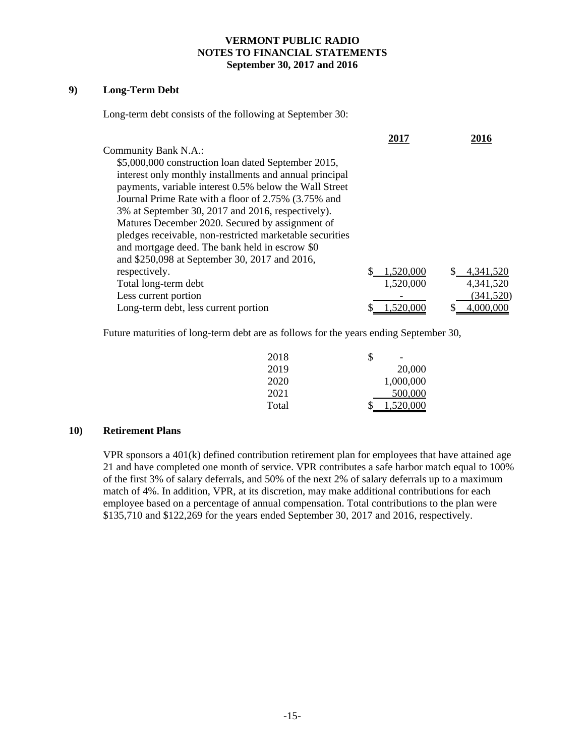## **9) Long-Term Debt**

Long-term debt consists of the following at September 30:

|                                                          | 2017      | 2016       |
|----------------------------------------------------------|-----------|------------|
| Community Bank N.A.:                                     |           |            |
| \$5,000,000 construction loan dated September 2015,      |           |            |
| interest only monthly installments and annual principal  |           |            |
| payments, variable interest 0.5% below the Wall Street   |           |            |
| Journal Prime Rate with a floor of 2.75% (3.75% and      |           |            |
| 3% at September 30, 2017 and 2016, respectively).        |           |            |
| Matures December 2020. Secured by assignment of          |           |            |
| pledges receivable, non-restricted marketable securities |           |            |
| and mortgage deed. The bank held in escrow \$0           |           |            |
| and \$250,098 at September 30, 2017 and 2016,            |           |            |
| respectively.                                            | 1,520,000 | 4,341,520  |
| Total long-term debt                                     | 1,520,000 | 4,341,520  |
| Less current portion                                     |           | (341, 520) |
| Long-term debt, less current portion                     | 1.520.000 | 4,000,000  |
|                                                          |           |            |

Future maturities of long-term debt are as follows for the years ending September 30,

| 2018  | $\overline{\phantom{a}}$<br>J |
|-------|-------------------------------|
| 2019  | 20,000                        |
| 2020  | 1,000,000                     |
| 2021  | 500,000                       |
| Total | 1,520,000                     |

#### **10) Retirement Plans**

VPR sponsors a 401(k) defined contribution retirement plan for employees that have attained age 21 and have completed one month of service. VPR contributes a safe harbor match equal to 100% of the first 3% of salary deferrals, and 50% of the next 2% of salary deferrals up to a maximum match of 4%. In addition, VPR, at its discretion, may make additional contributions for each employee based on a percentage of annual compensation. Total contributions to the plan were \$135,710 and \$122,269 for the years ended September 30, 2017 and 2016, respectively.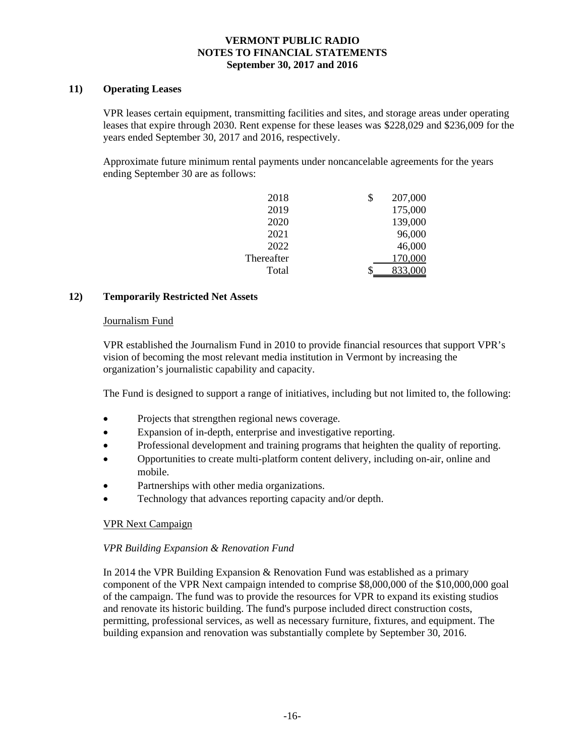### **11) Operating Leases**

VPR leases certain equipment, transmitting facilities and sites, and storage areas under operating leases that expire through 2030. Rent expense for these leases was \$228,029 and \$236,009 for the years ended September 30, 2017 and 2016, respectively.

Approximate future minimum rental payments under noncancelable agreements for the years ending September 30 are as follows:

| 2018       | \$<br>207,000 |
|------------|---------------|
| 2019       | 175,000       |
| 2020       | 139,000       |
| 2021       | 96,000        |
| 2022       | 46,000        |
| Thereafter | 170,000       |
| Total      | 833,000       |

## **12) Temporarily Restricted Net Assets**

### Journalism Fund

VPR established the Journalism Fund in 2010 to provide financial resources that support VPR's vision of becoming the most relevant media institution in Vermont by increasing the organization's journalistic capability and capacity.

The Fund is designed to support a range of initiatives, including but not limited to, the following:

- Projects that strengthen regional news coverage.
- Expansion of in-depth, enterprise and investigative reporting.
- Professional development and training programs that heighten the quality of reporting.
- Opportunities to create multi-platform content delivery, including on-air, online and mobile.
- Partnerships with other media organizations.
- Technology that advances reporting capacity and/or depth.

### VPR Next Campaign

### *VPR Building Expansion & Renovation Fund*

In 2014 the VPR Building Expansion & Renovation Fund was established as a primary component of the VPR Next campaign intended to comprise \$8,000,000 of the \$10,000,000 goal of the campaign. The fund was to provide the resources for VPR to expand its existing studios and renovate its historic building. The fund's purpose included direct construction costs, permitting, professional services, as well as necessary furniture, fixtures, and equipment. The building expansion and renovation was substantially complete by September 30, 2016.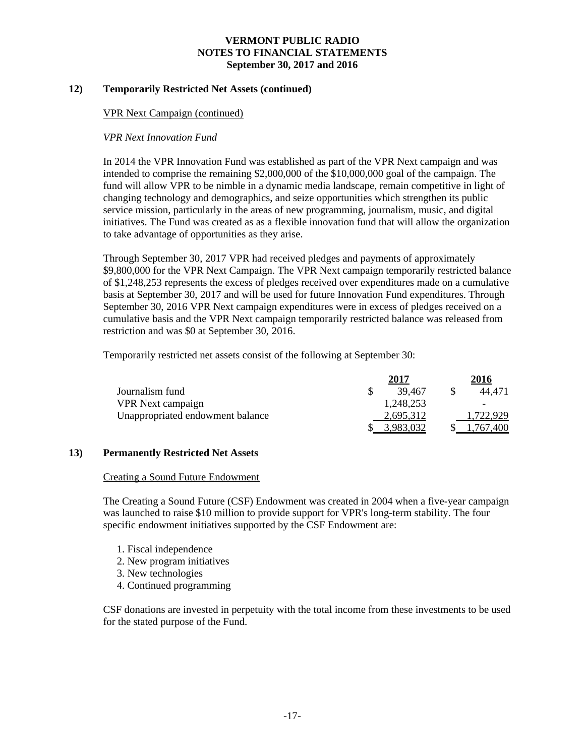### **12) Temporarily Restricted Net Assets (continued)**

#### VPR Next Campaign (continued)

### *VPR Next Innovation Fund*

In 2014 the VPR Innovation Fund was established as part of the VPR Next campaign and was intended to comprise the remaining \$2,000,000 of the \$10,000,000 goal of the campaign. The fund will allow VPR to be nimble in a dynamic media landscape, remain competitive in light of changing technology and demographics, and seize opportunities which strengthen its public service mission, particularly in the areas of new programming, journalism, music, and digital initiatives. The Fund was created as as a flexible innovation fund that will allow the organization to take advantage of opportunities as they arise.

Through September 30, 2017 VPR had received pledges and payments of approximately \$9,800,000 for the VPR Next Campaign. The VPR Next campaign temporarily restricted balance of \$1,248,253 represents the excess of pledges received over expenditures made on a cumulative basis at September 30, 2017 and will be used for future Innovation Fund expenditures. Through September 30, 2016 VPR Next campaign expenditures were in excess of pledges received on a cumulative basis and the VPR Next campaign temporarily restricted balance was released from restriction and was \$0 at September 30, 2016.

Temporarily restricted net assets consist of the following at September 30:

|                                  | 2017      | 2016      |
|----------------------------------|-----------|-----------|
| Journalism fund                  | 39.467    | 44.471    |
| <b>VPR</b> Next campaign         | 1,248,253 |           |
| Unappropriated endowment balance | 2,695,312 | 1.722.929 |
|                                  | .983.032  | .400      |

### **13) Permanently Restricted Net Assets**

#### Creating a Sound Future Endowment

The Creating a Sound Future (CSF) Endowment was created in 2004 when a five-year campaign was launched to raise \$10 million to provide support for VPR's long-term stability. The four specific endowment initiatives supported by the CSF Endowment are:

- 1. Fiscal independence
- 2. New program initiatives
- 3. New technologies
- 4. Continued programming

CSF donations are invested in perpetuity with the total income from these investments to be used for the stated purpose of the Fund.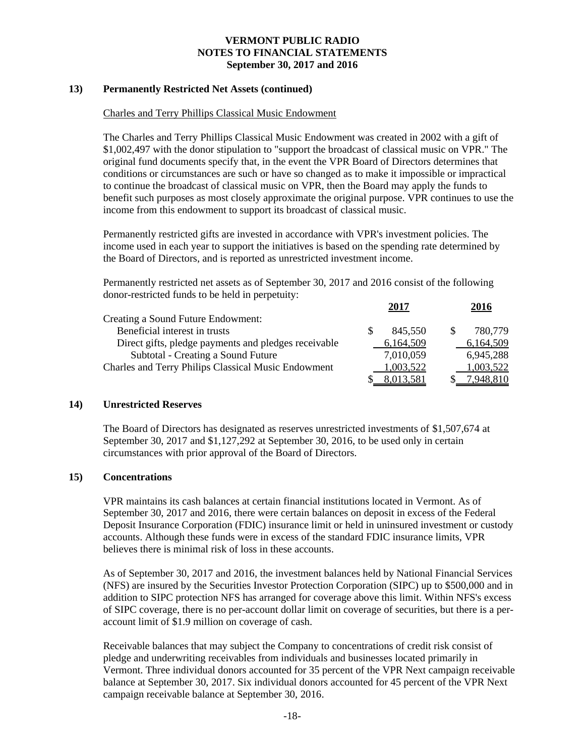### **13) Permanently Restricted Net Assets (continued)**

#### Charles and Terry Phillips Classical Music Endowment

The Charles and Terry Phillips Classical Music Endowment was created in 2002 with a gift of \$1,002,497 with the donor stipulation to "support the broadcast of classical music on VPR." The original fund documents specify that, in the event the VPR Board of Directors determines that conditions or circumstances are such or have so changed as to make it impossible or impractical to continue the broadcast of classical music on VPR, then the Board may apply the funds to benefit such purposes as most closely approximate the original purpose. VPR continues to use the income from this endowment to support its broadcast of classical music.

Permanently restricted gifts are invested in accordance with VPR's investment policies. The income used in each year to support the initiatives is based on the spending rate determined by the Board of Directors, and is reported as unrestricted investment income.

Permanently restricted net assets as of September 30, 2017 and 2016 consist of the following donor-restricted funds to be held in perpetuity:

|                                                      | 2017      |     | 2016      |
|------------------------------------------------------|-----------|-----|-----------|
| Creating a Sound Future Endowment:                   |           |     |           |
| Beneficial interest in trusts                        | 845,550   | \$. | 780,779   |
| Direct gifts, pledge payments and pledges receivable | 6,164,509 |     | 6,164,509 |
| Subtotal - Creating a Sound Future                   | 7,010,059 |     | 6,945,288 |
| Charles and Terry Philips Classical Music Endowment  | 1,003,522 |     | 1,003,522 |
|                                                      | 8.013.581 |     | 7,948,810 |

### **14) Unrestricted Reserves**

The Board of Directors has designated as reserves unrestricted investments of \$1,507,674 at September 30, 2017 and \$1,127,292 at September 30, 2016, to be used only in certain circumstances with prior approval of the Board of Directors.

#### **15) Concentrations**

VPR maintains its cash balances at certain financial institutions located in Vermont. As of September 30, 2017 and 2016, there were certain balances on deposit in excess of the Federal Deposit Insurance Corporation (FDIC) insurance limit or held in uninsured investment or custody accounts. Although these funds were in excess of the standard FDIC insurance limits, VPR believes there is minimal risk of loss in these accounts.

As of September 30, 2017 and 2016, the investment balances held by National Financial Services (NFS) are insured by the Securities Investor Protection Corporation (SIPC) up to \$500,000 and in addition to SIPC protection NFS has arranged for coverage above this limit. Within NFS's excess of SIPC coverage, there is no per-account dollar limit on coverage of securities, but there is a peraccount limit of \$1.9 million on coverage of cash.

Receivable balances that may subject the Company to concentrations of credit risk consist of pledge and underwriting receivables from individuals and businesses located primarily in Vermont. Three individual donors accounted for 35 percent of the VPR Next campaign receivable balance at September 30, 2017. Six individual donors accounted for 45 percent of the VPR Next campaign receivable balance at September 30, 2016.